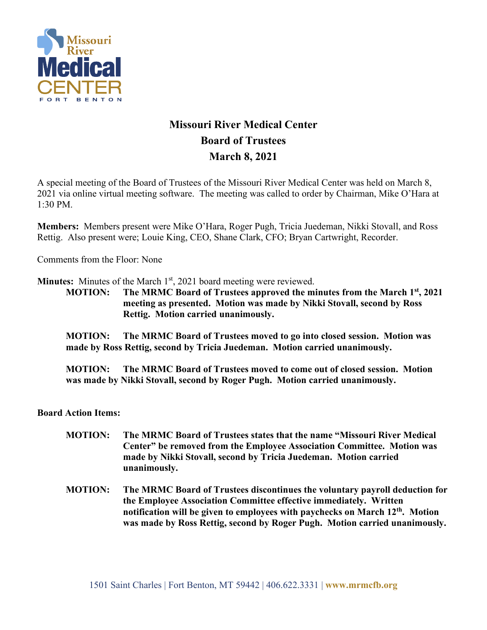

## **Missouri River Medical Center Board of Trustees March 8, 2021**

A special meeting of the Board of Trustees of the Missouri River Medical Center was held on March 8, 2021 via online virtual meeting software. The meeting was called to order by Chairman, Mike O'Hara at 1:30 PM.

**Members:** Members present were Mike O'Hara, Roger Pugh, Tricia Juedeman, Nikki Stovall, and Ross Rettig. Also present were; Louie King, CEO, Shane Clark, CFO; Bryan Cartwright, Recorder.

Comments from the Floor: None

**Minutes:** Minutes of the March 1<sup>st</sup>, 2021 board meeting were reviewed.

**MOTION: The MRMC Board of Trustees approved the minutes from the March 1st, 2021 meeting as presented. Motion was made by Nikki Stovall, second by Ross Rettig. Motion carried unanimously.**

**MOTION: The MRMC Board of Trustees moved to go into closed session. Motion was made by Ross Rettig, second by Tricia Juedeman. Motion carried unanimously.**

**MOTION: The MRMC Board of Trustees moved to come out of closed session. Motion was made by Nikki Stovall, second by Roger Pugh. Motion carried unanimously.**

**Board Action Items:** 

- **MOTION: The MRMC Board of Trustees states that the name "Missouri River Medical Center" be removed from the Employee Association Committee. Motion was made by Nikki Stovall, second by Tricia Juedeman. Motion carried unanimously.**
- **MOTION: The MRMC Board of Trustees discontinues the voluntary payroll deduction for the Employee Association Committee effective immediately. Written notification will be given to employees with paychecks on March 12th. Motion was made by Ross Rettig, second by Roger Pugh. Motion carried unanimously.**